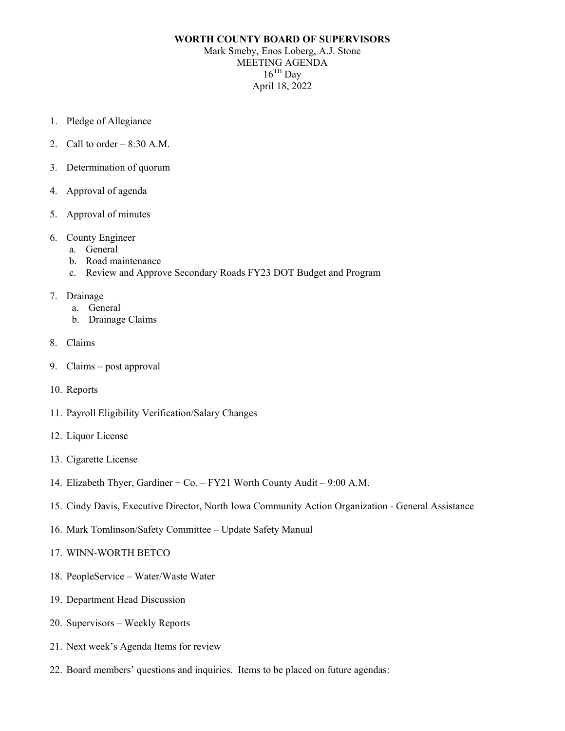## **WORTH COUNTY BOARD OF SUPERVISORS** Mark Smeby, Enos Loberg, A.J. Stone MEETING AGENDA  $16^{\text{TH}}$  Day April 18, 2022

- 1. Pledge of Allegiance
- 2. Call to order  $-8:30$  A.M.
- 3. Determination of quorum
- 4. Approval of agenda
- 5. Approval of minutes
- 6. County Engineer
	- a. General
	- b. Road maintenance
	- c. Review and Approve Secondary Roads FY23 DOT Budget and Program
- 7. Drainage
	- a. General
	- b. Drainage Claims
- 8. Claims
- 9. Claims post approval
- 10. Reports
- 11. Payroll Eligibility Verification/Salary Changes
- 12. Liquor License
- 13. Cigarette License
- 14. Elizabeth Thyer, Gardiner + Co. FY21 Worth County Audit 9:00 A.M.
- 15. Cindy Davis, Executive Director, North Iowa Community Action Organization General Assistance
- 16. Mark Tomlinson/Safety Committee Update Safety Manual
- 17. WINN-WORTH BETCO
- 18. PeopleService Water/Waste Water
- 19. Department Head Discussion
- 20. Supervisors Weekly Reports
- 21. Next week's Agenda Items for review
- 22. Board members' questions and inquiries. Items to be placed on future agendas: